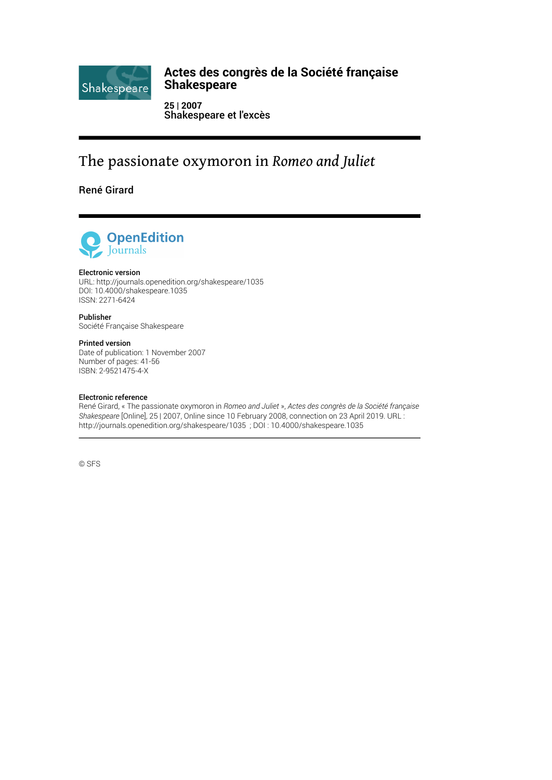

# **Actes des congrès de la Société française Shakespeare**

**25 | 2007** Shakespeare et l'excès

# The passionate oxymoron in *Romeo and Juliet*

René Girard



# Electronic version

URL:<http://journals.openedition.org/shakespeare/1035> DOI: 10.4000/shakespeare.1035 ISSN: 2271-6424

Publisher Société Française Shakespeare

## Printed version

Date of publication: 1 November 2007 Number of pages: 41-56 ISBN: 2-9521475-4-X

## Electronic reference

René Girard, « The passionate oxymoron in *Romeo and Juliet* », *Actes des congrès de la Société française Shakespeare* [Online], 25 | 2007, Online since 10 February 2008, connection on 23 April 2019. URL : http://journals.openedition.org/shakespeare/1035 ; DOI : 10.4000/shakespeare.1035

© SFS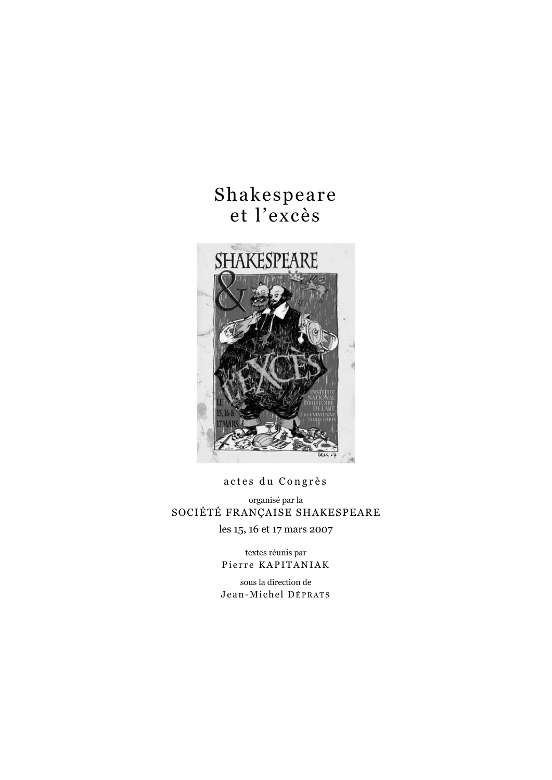# Shakespeare et l'excès



actes du Congrès

organisé par la SOCIÉTÉ FRANÇAISE SHAKESPEARE les 15, 16 et 17 mars 2007

> textes réunis par Pierre KAPITANIAK

> sous la direction de Jean-Michel DÉPRATS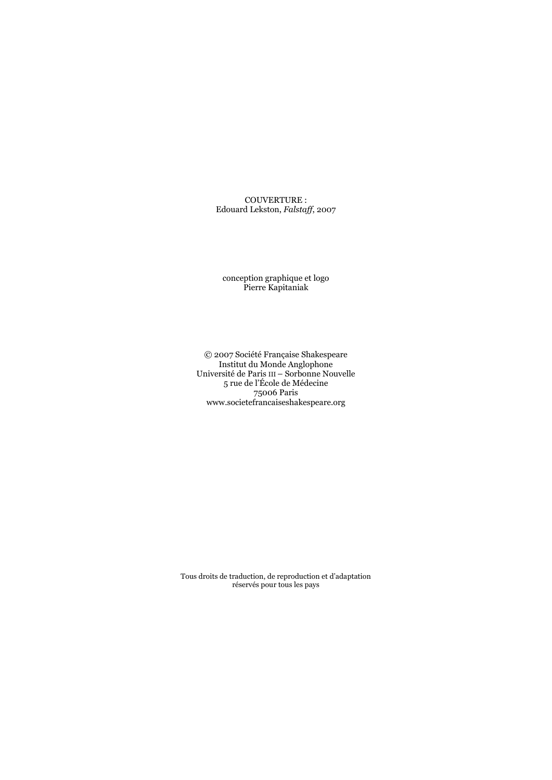COUVERTURE : Edouard Lekston, *Falstaff*, 2007

conception graphique et logo Pierre Kapitaniak

© 2007 Société Française Shakespeare Institut du Monde Anglophone Université de Paris III – Sorbonne Nouvelle 5 rue de l'École de Médecine 75006 Paris www.societefrancaiseshakespeare.org

Tous droits de traduction, de reproduction et d'adaptation réservés pour tous les pays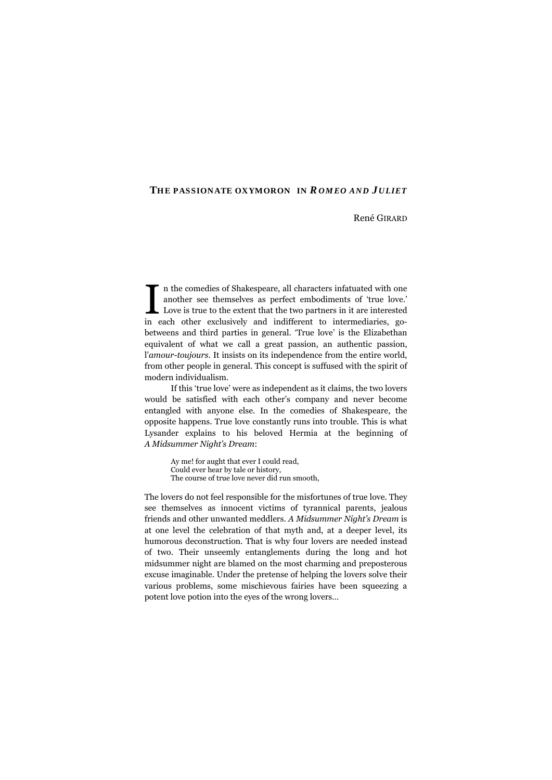# René GIRARD

n the comedies of Shakespeare, all characters infatuated with one another see themselves as perfect embodiments of 'true love.' Love is true to the extent that the two partners in it are interested In the comedies of Shakespeare, all characters infatuated with one another see themselves as perfect embodiments of 'true love.'<br>Love is true to the extent that the two partners in it are interested<br>in each other exclusive betweens and third parties in general. 'True love' is the Elizabethan equivalent of what we call a great passion, an authentic passion, l'*amour-toujours*. It insists on its independence from the entire world, from other people in general. This concept is suffused with the spirit of modern individualism.

If this 'true love' were as independent as it claims, the two lovers would be satisfied with each other's company and never become entangled with anyone else. In the comedies of Shakespeare, the opposite happens. True love constantly runs into trouble. This is what Lysander explains to his beloved Hermia at the beginning of *A Midsummer Night's Dream*:

> Ay me! for aught that ever I could read, Could ever hear by tale or history, The course of true love never did run smooth,

The lovers do not feel responsible for the misfortunes of true love. They see themselves as innocent victims of tyrannical parents, jealous friends and other unwanted meddlers. *A Midsummer Night's Dream* is at one level the celebration of that myth and, at a deeper level, its humorous deconstruction. That is why four lovers are needed instead of two. Their unseemly entanglements during the long and hot midsummer night are blamed on the most charming and preposterous excuse imaginable. Under the pretense of helping the lovers solve their various problems, some mischievous fairies have been squeezing a potent love potion into the eyes of the wrong lovers…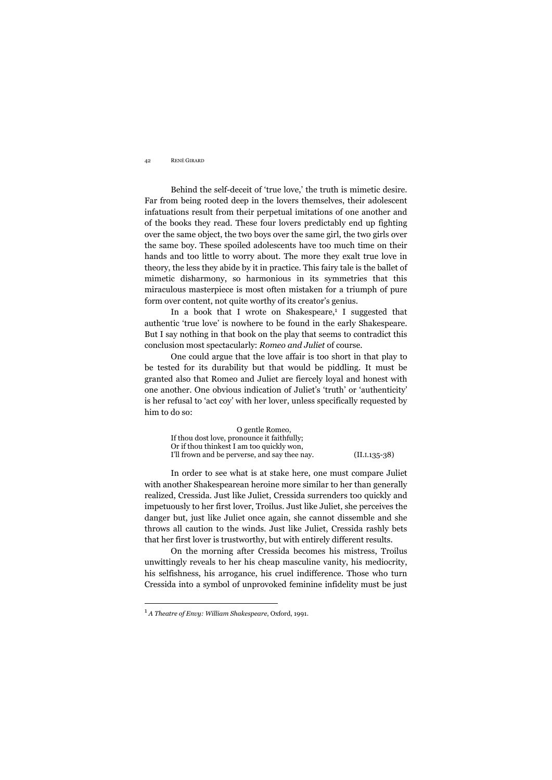Behind the self-deceit of 'true love,' the truth is mimetic desire. Far from being rooted deep in the lovers themselves, their adolescent infatuations result from their perpetual imitations of one another and of the books they read. These four lovers predictably end up fighting over the same object, the two boys over the same girl, the two girls over the same boy. These spoiled adolescents have too much time on their hands and too little to worry about. The more they exalt true love in theory, the less they abide by it in practice. This fairy tale is the ballet of mimetic disharmony, so harmonious in its symmetries that this miraculous masterpiece is most often mistaken for a triumph of pure form over content, not quite worthy of its creator's genius.

In a book that I wrote on Shakespeare,<sup>1</sup> I suggested that authentic 'true love' is nowhere to be found in the early Shakespeare. But I say nothing in that book on the play that seems to contradict this conclusion most spectacularly: *Romeo and Juliet* of course.

One could argue that the love affair is too short in that play to be tested for its durability but that would be piddling. It must be granted also that Romeo and Juliet are fiercely loyal and honest with one another. One obvious indication of Juliet's 'truth' or 'authenticity' is her refusal to 'act coy' with her lover, unless specifically requested by him to do so:

 O gentle Romeo, If thou dost love, pronounce it faithfully; Or if thou thinkest I am too quickly won, I'll frown and be perverse, and say thee nay. (II.I.135-38)

In order to see what is at stake here, one must compare Juliet with another Shakespearean heroine more similar to her than generally realized, Cressida. Just like Juliet, Cressida surrenders too quickly and impetuously to her first lover, Troilus. Just like Juliet, she perceives the danger but, just like Juliet once again, she cannot dissemble and she throws all caution to the winds. Just like Juliet, Cressida rashly bets that her first lover is trustworthy, but with entirely different results.

On the morning after Cressida becomes his mistress, Troilus unwittingly reveals to her his cheap masculine vanity, his mediocrity, his selfishness, his arrogance, his cruel indifference. Those who turn Cressida into a symbol of unprovoked feminine infidelity must be just

<u>.</u>

<sup>1</sup> *A Theatre of Envy: William Shakespeare*, Oxford, 1991.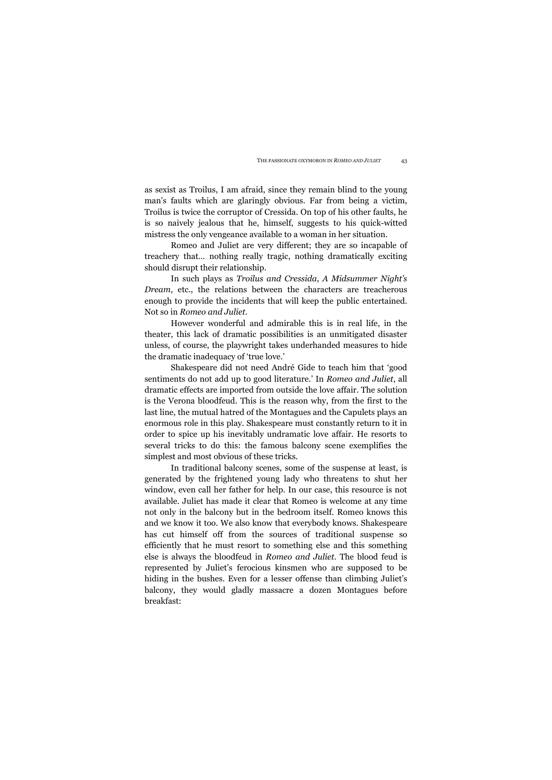as sexist as Troilus, I am afraid, since they remain blind to the young man's faults which are glaringly obvious. Far from being a victim, Troilus is twice the corruptor of Cressida. On top of his other faults, he is so naively jealous that he, himself, suggests to his quick-witted mistress the only vengeance available to a woman in her situation.

Romeo and Juliet are very different; they are so incapable of treachery that… nothing really tragic, nothing dramatically exciting should disrupt their relationship.

In such plays as *Troilus and Cressida*, *A Midsummer Night's Dream*, etc., the relations between the characters are treacherous enough to provide the incidents that will keep the public entertained. Not so in *Romeo and Juliet*.

However wonderful and admirable this is in real life, in the theater, this lack of dramatic possibilities is an unmitigated disaster unless, of course, the playwright takes underhanded measures to hide the dramatic inadequacy of 'true love.'

Shakespeare did not need André Gide to teach him that 'good sentiments do not add up to good literature.' In *Romeo and Juliet*, all dramatic effects are imported from outside the love affair. The solution is the Verona bloodfeud. This is the reason why, from the first to the last line, the mutual hatred of the Montagues and the Capulets plays an enormous role in this play. Shakespeare must constantly return to it in order to spice up his inevitably undramatic love affair. He resorts to several tricks to do this: the famous balcony scene exemplifies the simplest and most obvious of these tricks.

In traditional balcony scenes, some of the suspense at least, is generated by the frightened young lady who threatens to shut her window, even call her father for help. In our case, this resource is not available. Juliet has made it clear that Romeo is welcome at any time not only in the balcony but in the bedroom itself. Romeo knows this and we know it too. We also know that everybody knows. Shakespeare has cut himself off from the sources of traditional suspense so efficiently that he must resort to something else and this something else is always the bloodfeud in *Romeo and Juliet*. The blood feud is represented by Juliet's ferocious kinsmen who are supposed to be hiding in the bushes. Even for a lesser offense than climbing Juliet's balcony, they would gladly massacre a dozen Montagues before breakfast: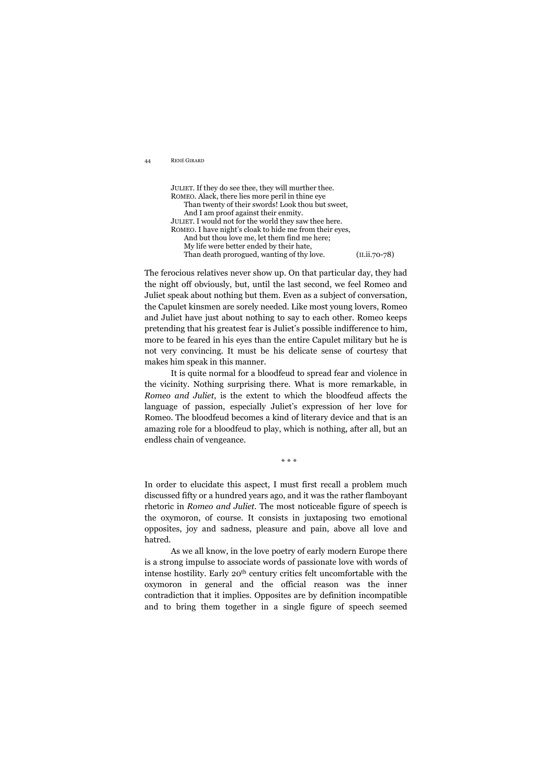JULIET. If they do see thee, they will murther thee. ROMEO. Alack, there lies more peril in thine eye Than twenty of their swords! Look thou but sweet, And I am proof against their enmity. JULIET. I would not for the world they saw thee here. ROMEO. I have night's cloak to hide me from their eyes, And but thou love me, let them find me here; My life were better ended by their hate, Than death prorogued, wanting of thy love. (II.ii.70-78)

The ferocious relatives never show up. On that particular day, they had the night off obviously, but, until the last second, we feel Romeo and Juliet speak about nothing but them. Even as a subject of conversation, the Capulet kinsmen are sorely needed. Like most young lovers, Romeo and Juliet have just about nothing to say to each other. Romeo keeps pretending that his greatest fear is Juliet's possible indifference to him, more to be feared in his eyes than the entire Capulet military but he is not very convincing. It must be his delicate sense of courtesy that makes him speak in this manner.

It is quite normal for a bloodfeud to spread fear and violence in the vicinity. Nothing surprising there. What is more remarkable, in *Romeo and Juliet*, is the extent to which the bloodfeud affects the language of passion, especially Juliet's expression of her love for Romeo. The bloodfeud becomes a kind of literary device and that is an amazing role for a bloodfeud to play, which is nothing, after all, but an endless chain of vengeance.

In order to elucidate this aspect, I must first recall a problem much discussed fifty or a hundred years ago, and it was the rather flamboyant rhetoric in *Romeo and Juliet*. The most noticeable figure of speech is the oxymoron, of course. It consists in juxtaposing two emotional opposites, joy and sadness, pleasure and pain, above all love and hatred.

As we all know, in the love poetry of early modern Europe there is a strong impulse to associate words of passionate love with words of intense hostility. Early 20th century critics felt uncomfortable with the oxymoron in general and the official reason was the inner contradiction that it implies. Opposites are by definition incompatible and to bring them together in a single figure of speech seemed

\* \* \*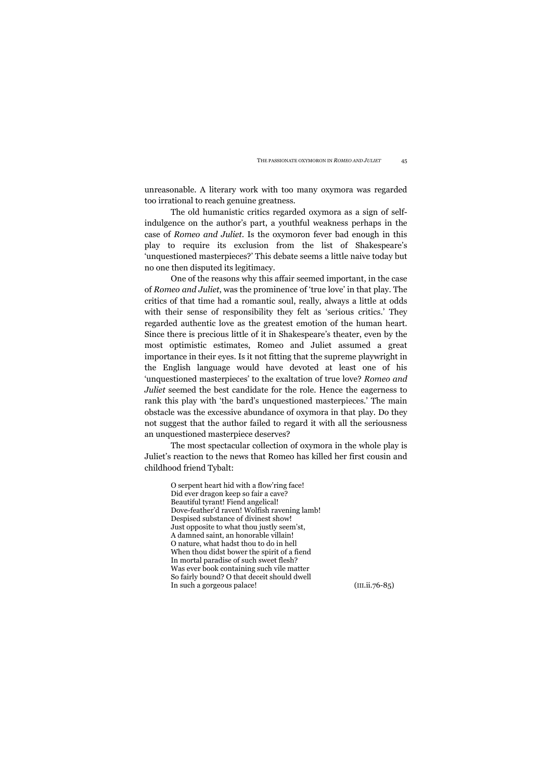unreasonable. A literary work with too many oxymora was regarded too irrational to reach genuine greatness.

The old humanistic critics regarded oxymora as a sign of selfindulgence on the author's part, a youthful weakness perhaps in the case of *Romeo and Juliet*. Is the oxymoron fever bad enough in this play to require its exclusion from the list of Shakespeare's 'unquestioned masterpieces?' This debate seems a little naive today but no one then disputed its legitimacy.

One of the reasons why this affair seemed important, in the case of *Romeo and Juliet*, was the prominence of 'true love' in that play. The critics of that time had a romantic soul, really, always a little at odds with their sense of responsibility they felt as 'serious critics.' They regarded authentic love as the greatest emotion of the human heart. Since there is precious little of it in Shakespeare's theater, even by the most optimistic estimates, Romeo and Juliet assumed a great importance in their eyes. Is it not fitting that the supreme playwright in the English language would have devoted at least one of his 'unquestioned masterpieces' to the exaltation of true love? *Romeo and Juliet* seemed the best candidate for the role. Hence the eagerness to rank this play with 'the bard's unquestioned masterpieces.' The main obstacle was the excessive abundance of oxymora in that play. Do they not suggest that the author failed to regard it with all the seriousness an unquestioned masterpiece deserves?

The most spectacular collection of oxymora in the whole play is Juliet's reaction to the news that Romeo has killed her first cousin and childhood friend Tybalt:

> O serpent heart hid with a flow'ring face! Did ever dragon keep so fair a cave? Beautiful tyrant! Fiend angelical! Dove-feather'd raven! Wolfish ravening lamb! Despised substance of divinest show! Just opposite to what thou justly seem'st, A damned saint, an honorable villain! O nature, what hadst thou to do in hell When thou didst bower the spirit of a fiend In mortal paradise of such sweet flesh? Was ever book containing such vile matter So fairly bound? O that deceit should dwell In such a gorgeous palace! (III.ii.76-85)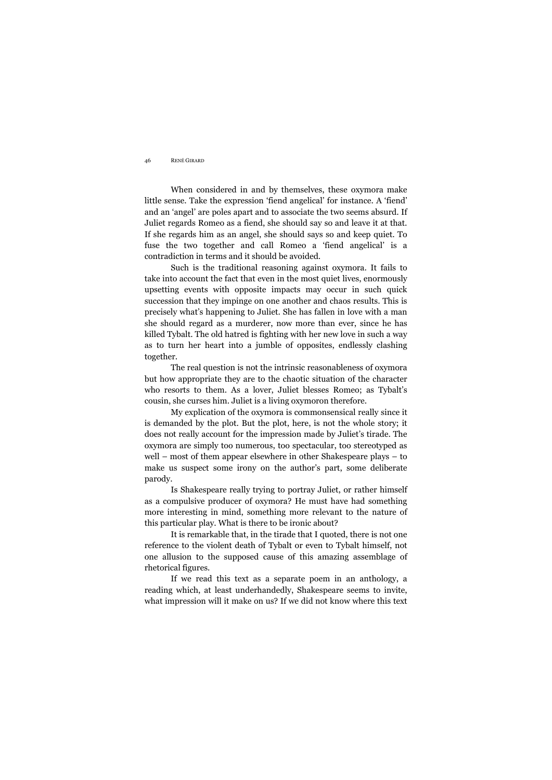When considered in and by themselves, these oxymora make little sense. Take the expression 'fiend angelical' for instance. A 'fiend' and an 'angel' are poles apart and to associate the two seems absurd. If Juliet regards Romeo as a fiend, she should say so and leave it at that. If she regards him as an angel, she should says so and keep quiet. To fuse the two together and call Romeo a 'fiend angelical' is a contradiction in terms and it should be avoided.

Such is the traditional reasoning against oxymora. It fails to take into account the fact that even in the most quiet lives, enormously upsetting events with opposite impacts may occur in such quick succession that they impinge on one another and chaos results. This is precisely what's happening to Juliet. She has fallen in love with a man she should regard as a murderer, now more than ever, since he has killed Tybalt. The old hatred is fighting with her new love in such a way as to turn her heart into a jumble of opposites, endlessly clashing together.

The real question is not the intrinsic reasonableness of oxymora but how appropriate they are to the chaotic situation of the character who resorts to them. As a lover, Juliet blesses Romeo; as Tybalt's cousin, she curses him. Juliet is a living oxymoron therefore.

My explication of the oxymora is commonsensical really since it is demanded by the plot. But the plot, here, is not the whole story; it does not really account for the impression made by Juliet's tirade. The oxymora are simply too numerous, too spectacular, too stereotyped as well – most of them appear elsewhere in other Shakespeare plays – to make us suspect some irony on the author's part, some deliberate parody.

Is Shakespeare really trying to portray Juliet, or rather himself as a compulsive producer of oxymora? He must have had something more interesting in mind, something more relevant to the nature of this particular play. What is there to be ironic about?

It is remarkable that, in the tirade that I quoted, there is not one reference to the violent death of Tybalt or even to Tybalt himself, not one allusion to the supposed cause of this amazing assemblage of rhetorical figures.

If we read this text as a separate poem in an anthology, a reading which, at least underhandedly, Shakespeare seems to invite, what impression will it make on us? If we did not know where this text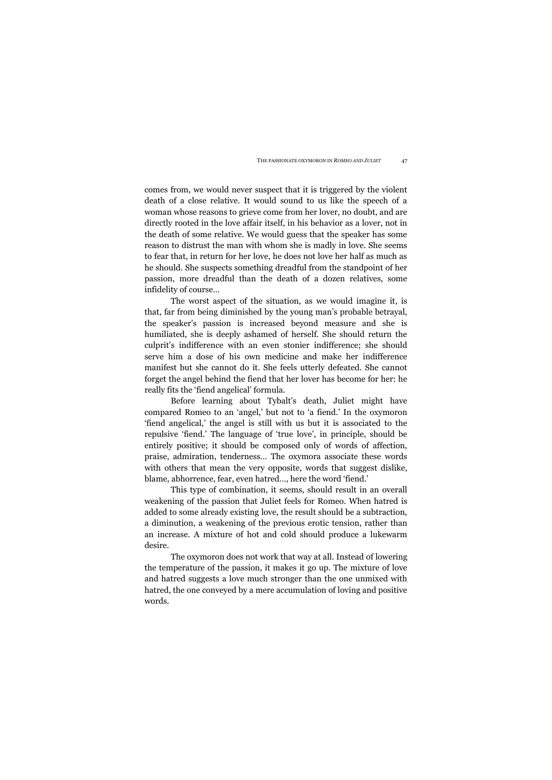comes from, we would never suspect that it is triggered by the violent death of a close relative. It would sound to us like the speech of a woman whose reasons to grieve come from her lover, no doubt, and are directly rooted in the love affair itself, in his behavior as a lover, not in the death of some relative. We would guess that the speaker has some reason to distrust the man with whom she is madly in love. She seems to fear that, in return for her love, he does not love her half as much as he should. She suspects something dreadful from the standpoint of her passion, more dreadful than the death of a dozen relatives, some infidelity of course…

The worst aspect of the situation, as we would imagine it, is that, far from being diminished by the young man's probable betrayal, the speaker's passion is increased beyond measure and she is humiliated, she is deeply ashamed of herself. She should return the culprit's indifference with an even stonier indifference; she should serve him a dose of his own medicine and make her indifference manifest but she cannot do it. She feels utterly defeated. She cannot forget the angel behind the fiend that her lover has become for her: he really fits the 'fiend angelical' formula.

Before learning about Tybalt's death, Juliet might have compared Romeo to an 'angel,' but not to 'a fiend.' In the oxymoron 'fiend angelical,' the angel is still with us but it is associated to the repulsive 'fiend.' The language of 'true love', in principle, should be entirely positive; it should be composed only of words of affection, praise, admiration, tenderness… The oxymora associate these words with others that mean the very opposite, words that suggest dislike, blame, abhorrence, fear, even hatred…, here the word 'fiend.'

This type of combination, it seems, should result in an overall weakening of the passion that Juliet feels for Romeo. When hatred is added to some already existing love, the result should be a subtraction, a diminution, a weakening of the previous erotic tension, rather than an increase. A mixture of hot and cold should produce a lukewarm desire.

The oxymoron does not work that way at all. Instead of lowering the temperature of the passion, it makes it go up. The mixture of love and hatred suggests a love much stronger than the one unmixed with hatred, the one conveyed by a mere accumulation of loving and positive words.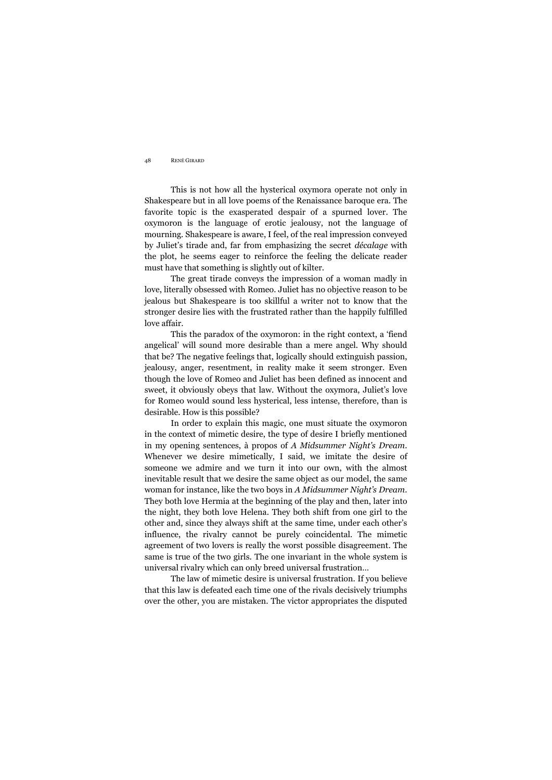This is not how all the hysterical oxymora operate not only in Shakespeare but in all love poems of the Renaissance baroque era. The favorite topic is the exasperated despair of a spurned lover. The oxymoron is the language of erotic jealousy, not the language of mourning. Shakespeare is aware, I feel, of the real impression conveyed by Juliet's tirade and, far from emphasizing the secret *décalage* with the plot, he seems eager to reinforce the feeling the delicate reader must have that something is slightly out of kilter.

The great tirade conveys the impression of a woman madly in love, literally obsessed with Romeo. Juliet has no objective reason to be jealous but Shakespeare is too skillful a writer not to know that the stronger desire lies with the frustrated rather than the happily fulfilled love affair.

This the paradox of the oxymoron: in the right context, a 'fiend angelical' will sound more desirable than a mere angel. Why should that be? The negative feelings that, logically should extinguish passion, jealousy, anger, resentment, in reality make it seem stronger. Even though the love of Romeo and Juliet has been defined as innocent and sweet, it obviously obeys that law. Without the oxymora, Juliet's love for Romeo would sound less hysterical, less intense, therefore, than is desirable. How is this possible?

In order to explain this magic, one must situate the oxymoron in the context of mimetic desire, the type of desire I briefly mentioned in my opening sentences, à propos of *A Midsummer Night's Dream*. Whenever we desire mimetically, I said, we imitate the desire of someone we admire and we turn it into our own, with the almost inevitable result that we desire the same object as our model, the same woman for instance, like the two boys in *A Midsummer Night's Dream*. They both love Hermia at the beginning of the play and then, later into the night, they both love Helena. They both shift from one girl to the other and, since they always shift at the same time, under each other's influence, the rivalry cannot be purely coincidental. The mimetic agreement of two lovers is really the worst possible disagreement. The same is true of the two girls. The one invariant in the whole system is universal rivalry which can only breed universal frustration…

The law of mimetic desire is universal frustration. If you believe that this law is defeated each time one of the rivals decisively triumphs over the other, you are mistaken. The victor appropriates the disputed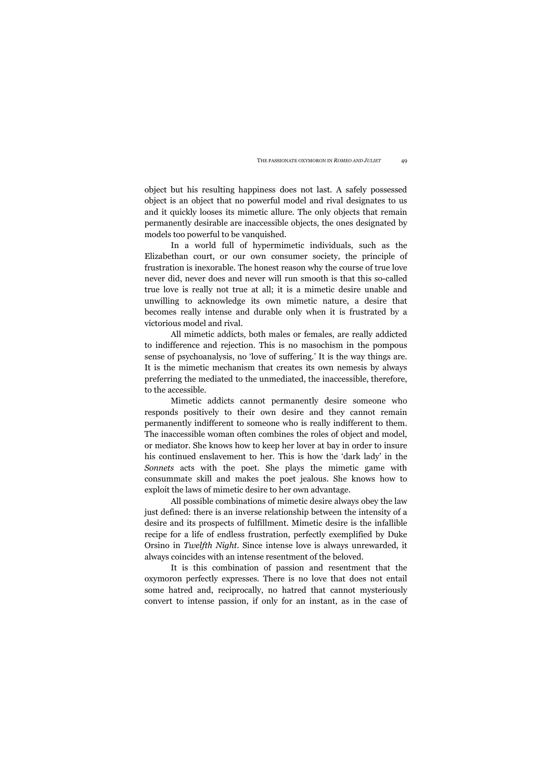object but his resulting happiness does not last. A safely possessed object is an object that no powerful model and rival designates to us and it quickly looses its mimetic allure. The only objects that remain permanently desirable are inaccessible objects, the ones designated by models too powerful to be vanquished.

In a world full of hypermimetic individuals, such as the Elizabethan court, or our own consumer society, the principle of frustration is inexorable. The honest reason why the course of true love never did, never does and never will run smooth is that this so-called true love is really not true at all; it is a mimetic desire unable and unwilling to acknowledge its own mimetic nature, a desire that becomes really intense and durable only when it is frustrated by a victorious model and rival.

All mimetic addicts, both males or females, are really addicted to indifference and rejection. This is no masochism in the pompous sense of psychoanalysis, no 'love of suffering.' It is the way things are. It is the mimetic mechanism that creates its own nemesis by always preferring the mediated to the unmediated, the inaccessible, therefore, to the accessible.

Mimetic addicts cannot permanently desire someone who responds positively to their own desire and they cannot remain permanently indifferent to someone who is really indifferent to them. The inaccessible woman often combines the roles of object and model, or mediator. She knows how to keep her lover at bay in order to insure his continued enslavement to her. This is how the 'dark lady' in the *Sonnets* acts with the poet. She plays the mimetic game with consummate skill and makes the poet jealous. She knows how to exploit the laws of mimetic desire to her own advantage.

All possible combinations of mimetic desire always obey the law just defined: there is an inverse relationship between the intensity of a desire and its prospects of fulfillment. Mimetic desire is the infallible recipe for a life of endless frustration, perfectly exemplified by Duke Orsino in *Twelfth Night*. Since intense love is always unrewarded, it always coincides with an intense resentment of the beloved.

It is this combination of passion and resentment that the oxymoron perfectly expresses. There is no love that does not entail some hatred and, reciprocally, no hatred that cannot mysteriously convert to intense passion, if only for an instant, as in the case of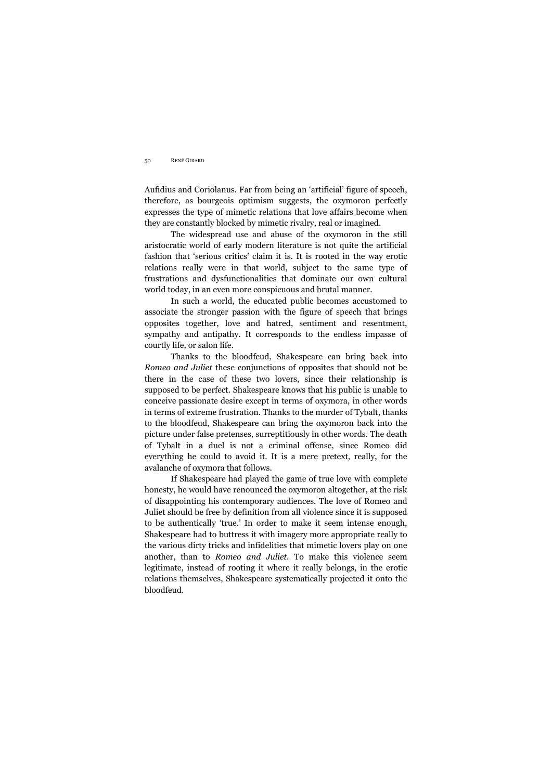Aufidius and Coriolanus. Far from being an 'artificial' figure of speech, therefore, as bourgeois optimism suggests, the oxymoron perfectly expresses the type of mimetic relations that love affairs become when they are constantly blocked by mimetic rivalry, real or imagined.

The widespread use and abuse of the oxymoron in the still aristocratic world of early modern literature is not quite the artificial fashion that 'serious critics' claim it is. It is rooted in the way erotic relations really were in that world, subject to the same type of frustrations and dysfunctionalities that dominate our own cultural world today, in an even more conspicuous and brutal manner.

In such a world, the educated public becomes accustomed to associate the stronger passion with the figure of speech that brings opposites together, love and hatred, sentiment and resentment, sympathy and antipathy. It corresponds to the endless impasse of courtly life, or salon life.

Thanks to the bloodfeud, Shakespeare can bring back into *Romeo and Juliet* these conjunctions of opposites that should not be there in the case of these two lovers, since their relationship is supposed to be perfect. Shakespeare knows that his public is unable to conceive passionate desire except in terms of oxymora, in other words in terms of extreme frustration. Thanks to the murder of Tybalt, thanks to the bloodfeud, Shakespeare can bring the oxymoron back into the picture under false pretenses, surreptitiously in other words. The death of Tybalt in a duel is not a criminal offense, since Romeo did everything he could to avoid it. It is a mere pretext, really, for the avalanche of oxymora that follows.

If Shakespeare had played the game of true love with complete honesty, he would have renounced the oxymoron altogether, at the risk of disappointing his contemporary audiences. The love of Romeo and Juliet should be free by definition from all violence since it is supposed to be authentically 'true.' In order to make it seem intense enough, Shakespeare had to buttress it with imagery more appropriate really to the various dirty tricks and infidelities that mimetic lovers play on one another, than to *Romeo and Juliet*. To make this violence seem legitimate, instead of rooting it where it really belongs, in the erotic relations themselves, Shakespeare systematically projected it onto the bloodfeud.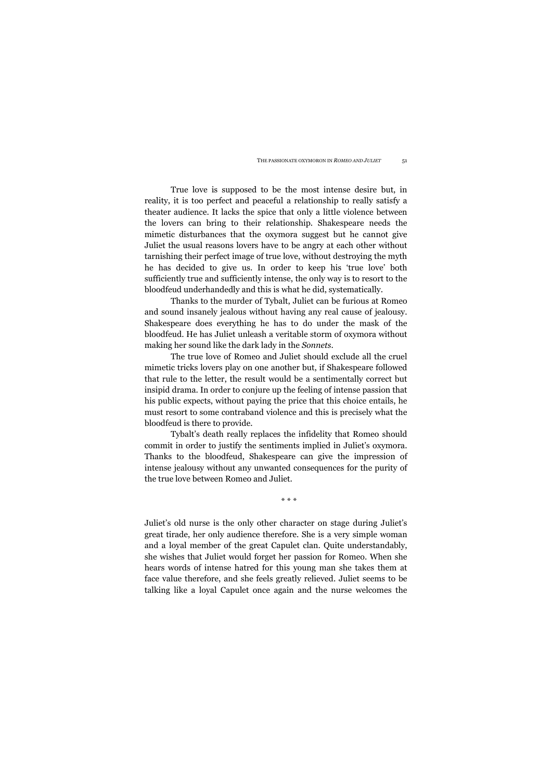True love is supposed to be the most intense desire but, in reality, it is too perfect and peaceful a relationship to really satisfy a theater audience. It lacks the spice that only a little violence between the lovers can bring to their relationship. Shakespeare needs the mimetic disturbances that the oxymora suggest but he cannot give Juliet the usual reasons lovers have to be angry at each other without tarnishing their perfect image of true love, without destroying the myth he has decided to give us. In order to keep his 'true love' both sufficiently true and sufficiently intense, the only way is to resort to the bloodfeud underhandedly and this is what he did, systematically.

Thanks to the murder of Tybalt, Juliet can be furious at Romeo and sound insanely jealous without having any real cause of jealousy. Shakespeare does everything he has to do under the mask of the bloodfeud. He has Juliet unleash a veritable storm of oxymora without making her sound like the dark lady in the *Sonnets*.

The true love of Romeo and Juliet should exclude all the cruel mimetic tricks lovers play on one another but, if Shakespeare followed that rule to the letter, the result would be a sentimentally correct but insipid drama. In order to conjure up the feeling of intense passion that his public expects, without paying the price that this choice entails, he must resort to some contraband violence and this is precisely what the bloodfeud is there to provide.

Tybalt's death really replaces the infidelity that Romeo should commit in order to justify the sentiments implied in Juliet's oxymora. Thanks to the bloodfeud, Shakespeare can give the impression of intense jealousy without any unwanted consequences for the purity of the true love between Romeo and Juliet.

\* \* \*

Juliet's old nurse is the only other character on stage during Juliet's great tirade, her only audience therefore. She is a very simple woman and a loyal member of the great Capulet clan. Quite understandably, she wishes that Juliet would forget her passion for Romeo. When she hears words of intense hatred for this young man she takes them at face value therefore, and she feels greatly relieved. Juliet seems to be talking like a loyal Capulet once again and the nurse welcomes the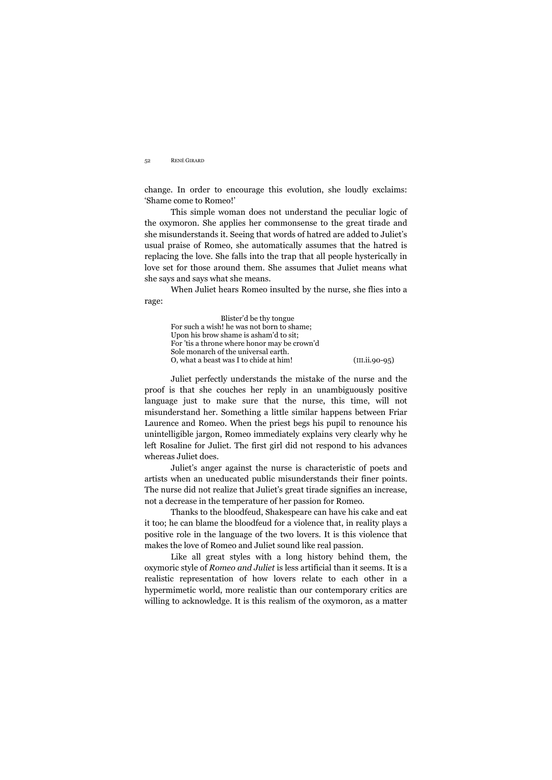change. In order to encourage this evolution, she loudly exclaims: 'Shame come to Romeo!'

This simple woman does not understand the peculiar logic of the oxymoron. She applies her commonsense to the great tirade and she misunderstands it. Seeing that words of hatred are added to Juliet's usual praise of Romeo, she automatically assumes that the hatred is replacing the love. She falls into the trap that all people hysterically in love set for those around them. She assumes that Juliet means what she says and says what she means.

When Juliet hears Romeo insulted by the nurse, she flies into a rage:

 Blister'd be thy tongue For such a wish! he was not born to shame; Upon his brow shame is asham'd to sit; For 'tis a throne where honor may be crown'd Sole monarch of the universal earth. O, what a beast was I to chide at him! (III.ii.90-95)

Juliet perfectly understands the mistake of the nurse and the proof is that she couches her reply in an unambiguously positive language just to make sure that the nurse, this time, will not misunderstand her. Something a little similar happens between Friar Laurence and Romeo. When the priest begs his pupil to renounce his unintelligible jargon, Romeo immediately explains very clearly why he left Rosaline for Juliet. The first girl did not respond to his advances whereas Juliet does.

Juliet's anger against the nurse is characteristic of poets and artists when an uneducated public misunderstands their finer points. The nurse did not realize that Juliet's great tirade signifies an increase, not a decrease in the temperature of her passion for Romeo.

Thanks to the bloodfeud, Shakespeare can have his cake and eat it too; he can blame the bloodfeud for a violence that, in reality plays a positive role in the language of the two lovers. It is this violence that makes the love of Romeo and Juliet sound like real passion.

Like all great styles with a long history behind them, the oxymoric style of *Romeo and Juliet* is less artificial than it seems. It is a realistic representation of how lovers relate to each other in a hypermimetic world, more realistic than our contemporary critics are willing to acknowledge. It is this realism of the oxymoron, as a matter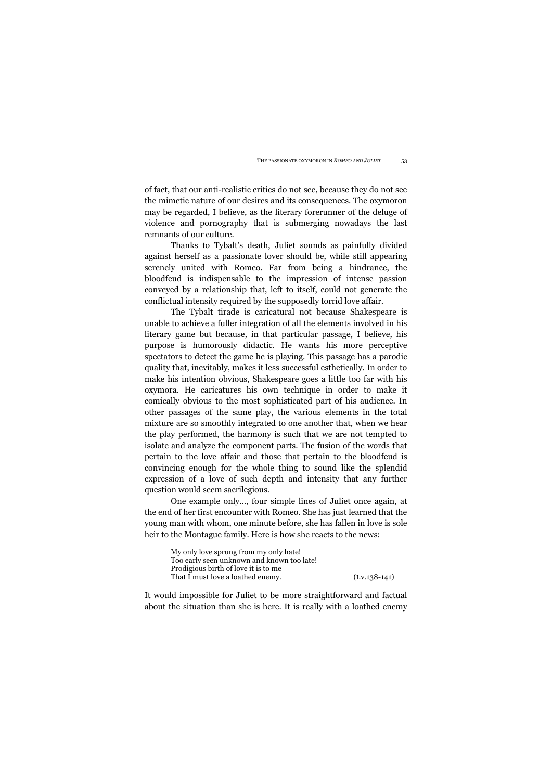of fact, that our anti-realistic critics do not see, because they do not see the mimetic nature of our desires and its consequences. The oxymoron may be regarded, I believe, as the literary forerunner of the deluge of violence and pornography that is submerging nowadays the last remnants of our culture.

Thanks to Tybalt's death, Juliet sounds as painfully divided against herself as a passionate lover should be, while still appearing serenely united with Romeo. Far from being a hindrance, the bloodfeud is indispensable to the impression of intense passion conveyed by a relationship that, left to itself, could not generate the conflictual intensity required by the supposedly torrid love affair.

The Tybalt tirade is caricatural not because Shakespeare is unable to achieve a fuller integration of all the elements involved in his literary game but because, in that particular passage, I believe, his purpose is humorously didactic. He wants his more perceptive spectators to detect the game he is playing. This passage has a parodic quality that, inevitably, makes it less successful esthetically. In order to make his intention obvious, Shakespeare goes a little too far with his oxymora. He caricatures his own technique in order to make it comically obvious to the most sophisticated part of his audience. In other passages of the same play, the various elements in the total mixture are so smoothly integrated to one another that, when we hear the play performed, the harmony is such that we are not tempted to isolate and analyze the component parts. The fusion of the words that pertain to the love affair and those that pertain to the bloodfeud is convincing enough for the whole thing to sound like the splendid expression of a love of such depth and intensity that any further question would seem sacrilegious.

One example only…, four simple lines of Juliet once again, at the end of her first encounter with Romeo. She has just learned that the young man with whom, one minute before, she has fallen in love is sole heir to the Montague family. Here is how she reacts to the news:

| My only love sprung from my only hate!     |                 |
|--------------------------------------------|-----------------|
| Too early seen unknown and known too late! |                 |
| Prodigious birth of love it is to me       |                 |
| That I must love a loathed enemy.          | $(I.V.138-141)$ |

It would impossible for Juliet to be more straightforward and factual about the situation than she is here. It is really with a loathed enemy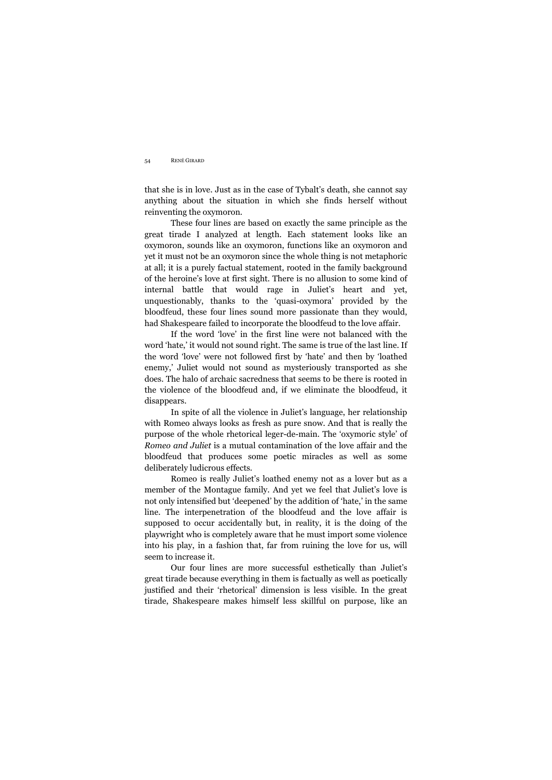that she is in love. Just as in the case of Tybalt's death, she cannot say anything about the situation in which she finds herself without reinventing the oxymoron.

These four lines are based on exactly the same principle as the great tirade I analyzed at length. Each statement looks like an oxymoron, sounds like an oxymoron, functions like an oxymoron and yet it must not be an oxymoron since the whole thing is not metaphoric at all; it is a purely factual statement, rooted in the family background of the heroine's love at first sight. There is no allusion to some kind of internal battle that would rage in Juliet's heart and yet, unquestionably, thanks to the 'quasi-oxymora' provided by the bloodfeud, these four lines sound more passionate than they would, had Shakespeare failed to incorporate the bloodfeud to the love affair.

If the word 'love' in the first line were not balanced with the word 'hate,' it would not sound right. The same is true of the last line. If the word 'love' were not followed first by 'hate' and then by 'loathed enemy,' Juliet would not sound as mysteriously transported as she does. The halo of archaic sacredness that seems to be there is rooted in the violence of the bloodfeud and, if we eliminate the bloodfeud, it disappears.

In spite of all the violence in Juliet's language, her relationship with Romeo always looks as fresh as pure snow. And that is really the purpose of the whole rhetorical leger-de-main. The 'oxymoric style' of *Romeo and Juliet* is a mutual contamination of the love affair and the bloodfeud that produces some poetic miracles as well as some deliberately ludicrous effects.

Romeo is really Juliet's loathed enemy not as a lover but as a member of the Montague family. And yet we feel that Juliet's love is not only intensified but 'deepened' by the addition of 'hate,' in the same line. The interpenetration of the bloodfeud and the love affair is supposed to occur accidentally but, in reality, it is the doing of the playwright who is completely aware that he must import some violence into his play, in a fashion that, far from ruining the love for us, will seem to increase it.

Our four lines are more successful esthetically than Juliet's great tirade because everything in them is factually as well as poetically justified and their 'rhetorical' dimension is less visible. In the great tirade, Shakespeare makes himself less skillful on purpose, like an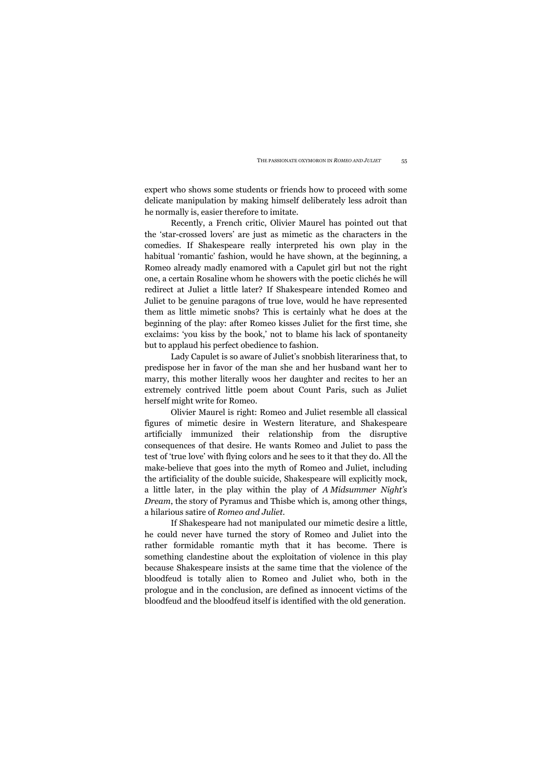expert who shows some students or friends how to proceed with some delicate manipulation by making himself deliberately less adroit than he normally is, easier therefore to imitate.

Recently, a French critic, Olivier Maurel has pointed out that the 'star-crossed lovers' are just as mimetic as the characters in the comedies. If Shakespeare really interpreted his own play in the habitual 'romantic' fashion, would he have shown, at the beginning, a Romeo already madly enamored with a Capulet girl but not the right one, a certain Rosaline whom he showers with the poetic clichés he will redirect at Juliet a little later? If Shakespeare intended Romeo and Juliet to be genuine paragons of true love, would he have represented them as little mimetic snobs? This is certainly what he does at the beginning of the play: after Romeo kisses Juliet for the first time, she exclaims: 'you kiss by the book,' not to blame his lack of spontaneity but to applaud his perfect obedience to fashion.

Lady Capulet is so aware of Juliet's snobbish literariness that, to predispose her in favor of the man she and her husband want her to marry, this mother literally woos her daughter and recites to her an extremely contrived little poem about Count Paris, such as Juliet herself might write for Romeo.

Olivier Maurel is right: Romeo and Juliet resemble all classical figures of mimetic desire in Western literature, and Shakespeare artificially immunized their relationship from the disruptive consequences of that desire. He wants Romeo and Juliet to pass the test of 'true love' with flying colors and he sees to it that they do. All the make-believe that goes into the myth of Romeo and Juliet, including the artificiality of the double suicide, Shakespeare will explicitly mock, a little later, in the play within the play of *A Midsummer Night's Dream*, the story of Pyramus and Thisbe which is, among other things, a hilarious satire of *Romeo and Juliet*.

If Shakespeare had not manipulated our mimetic desire a little, he could never have turned the story of Romeo and Juliet into the rather formidable romantic myth that it has become. There is something clandestine about the exploitation of violence in this play because Shakespeare insists at the same time that the violence of the bloodfeud is totally alien to Romeo and Juliet who, both in the prologue and in the conclusion, are defined as innocent victims of the bloodfeud and the bloodfeud itself is identified with the old generation.